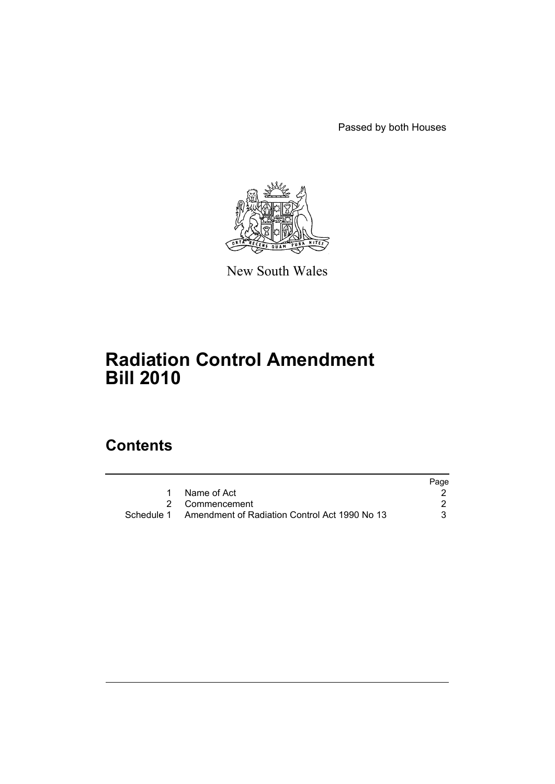Passed by both Houses



New South Wales

# **Radiation Control Amendment Bill 2010**

# **Contents**

|                                                          | Page |
|----------------------------------------------------------|------|
| 1 Name of Act                                            |      |
| 2 Commencement                                           |      |
| Schedule 1 Amendment of Radiation Control Act 1990 No 13 | 3    |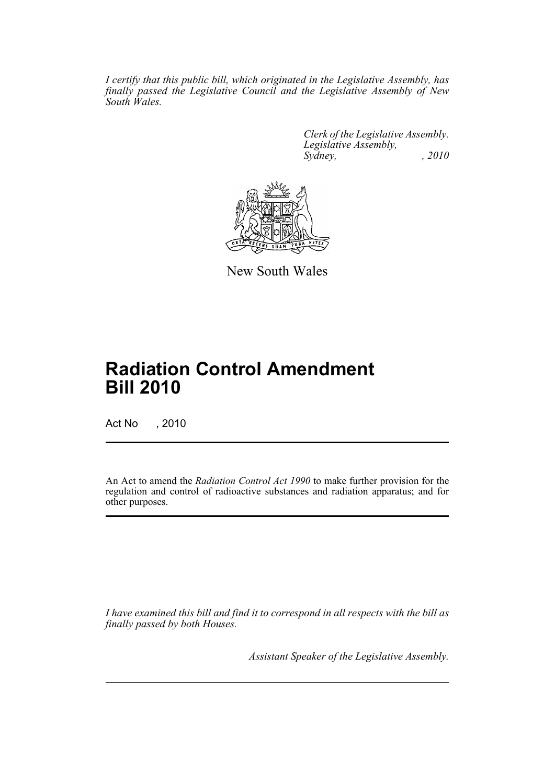*I certify that this public bill, which originated in the Legislative Assembly, has finally passed the Legislative Council and the Legislative Assembly of New South Wales.*

> *Clerk of the Legislative Assembly. Legislative Assembly, Sydney, , 2010*



New South Wales

# **Radiation Control Amendment Bill 2010**

Act No , 2010

An Act to amend the *Radiation Control Act 1990* to make further provision for the regulation and control of radioactive substances and radiation apparatus; and for other purposes.

*I have examined this bill and find it to correspond in all respects with the bill as finally passed by both Houses.*

*Assistant Speaker of the Legislative Assembly.*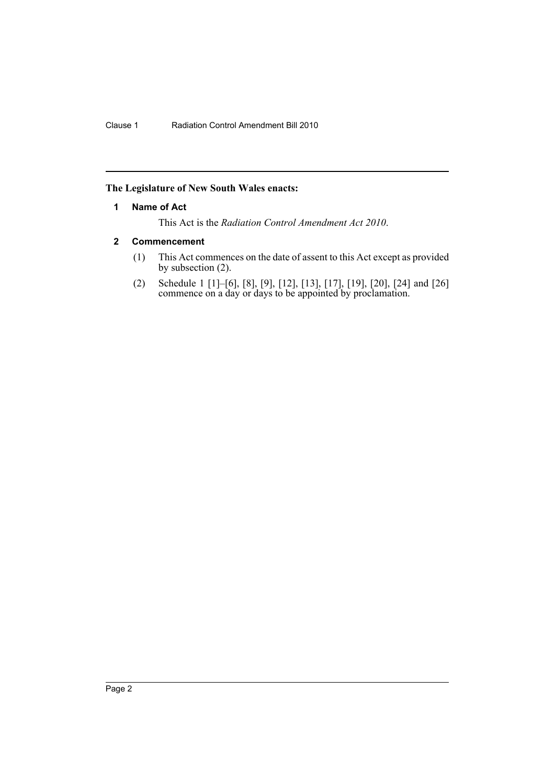# <span id="page-2-0"></span>**The Legislature of New South Wales enacts:**

# **1 Name of Act**

This Act is the *Radiation Control Amendment Act 2010*.

# <span id="page-2-1"></span>**2 Commencement**

- (1) This Act commences on the date of assent to this Act except as provided by subsection (2).
- (2) Schedule 1 [1]–[6], [8], [9], [12], [13], [17], [19], [20], [24] and [26] commence on a day or days to be appointed by proclamation.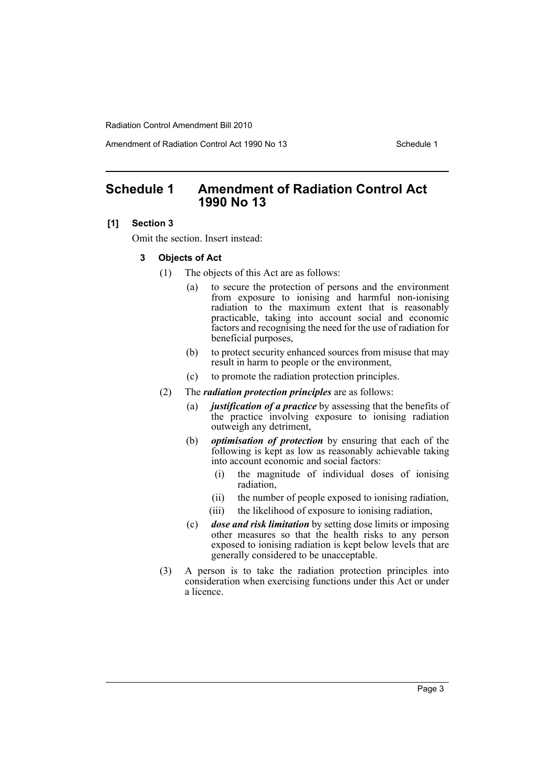Amendment of Radiation Control Act 1990 No 13 Schedule 1

# <span id="page-3-0"></span>**Schedule 1 Amendment of Radiation Control Act 1990 No 13**

#### **[1] Section 3**

Omit the section. Insert instead:

#### **3 Objects of Act**

- (1) The objects of this Act are as follows:
	- (a) to secure the protection of persons and the environment from exposure to ionising and harmful non-ionising radiation to the maximum extent that is reasonably practicable, taking into account social and economic factors and recognising the need for the use of radiation for beneficial purposes,
	- (b) to protect security enhanced sources from misuse that may result in harm to people or the environment,
	- (c) to promote the radiation protection principles.
- (2) The *radiation protection principles* are as follows:
	- (a) *justification of a practice* by assessing that the benefits of the practice involving exposure to ionising radiation outweigh any detriment,
	- (b) *optimisation of protection* by ensuring that each of the following is kept as low as reasonably achievable taking into account economic and social factors:
		- (i) the magnitude of individual doses of ionising radiation,
		- (ii) the number of people exposed to ionising radiation,
		- (iii) the likelihood of exposure to ionising radiation,
	- (c) *dose and risk limitation* by setting dose limits or imposing other measures so that the health risks to any person exposed to ionising radiation is kept below levels that are generally considered to be unacceptable.
- (3) A person is to take the radiation protection principles into consideration when exercising functions under this Act or under a licence.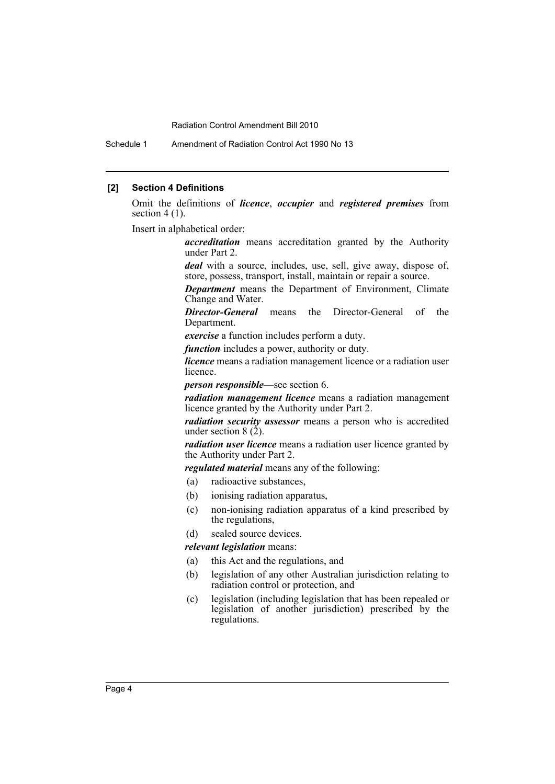Schedule 1 Amendment of Radiation Control Act 1990 No 13

#### **[2] Section 4 Definitions**

Omit the definitions of *licence*, *occupier* and *registered premises* from section  $4(1)$ .

Insert in alphabetical order:

*accreditation* means accreditation granted by the Authority under Part 2.

*deal* with a source, includes, use, sell, give away, dispose of, store, possess, transport, install, maintain or repair a source.

*Department* means the Department of Environment, Climate Change and Water.

*Director-General* means the Director-General of the Department.

*exercise* a function includes perform a duty.

*function* includes a power, authority or duty.

*licence* means a radiation management licence or a radiation user licence.

*person responsible*—see section 6.

*radiation management licence* means a radiation management licence granted by the Authority under Part 2.

*radiation security assessor* means a person who is accredited under section  $8(2)$ .

*radiation user licence* means a radiation user licence granted by the Authority under Part 2.

*regulated material* means any of the following:

- (a) radioactive substances,
- (b) ionising radiation apparatus,
- (c) non-ionising radiation apparatus of a kind prescribed by the regulations,
- (d) sealed source devices.

#### *relevant legislation* means:

- (a) this Act and the regulations, and
- (b) legislation of any other Australian jurisdiction relating to radiation control or protection, and
- (c) legislation (including legislation that has been repealed or legislation of another jurisdiction) prescribed by the regulations.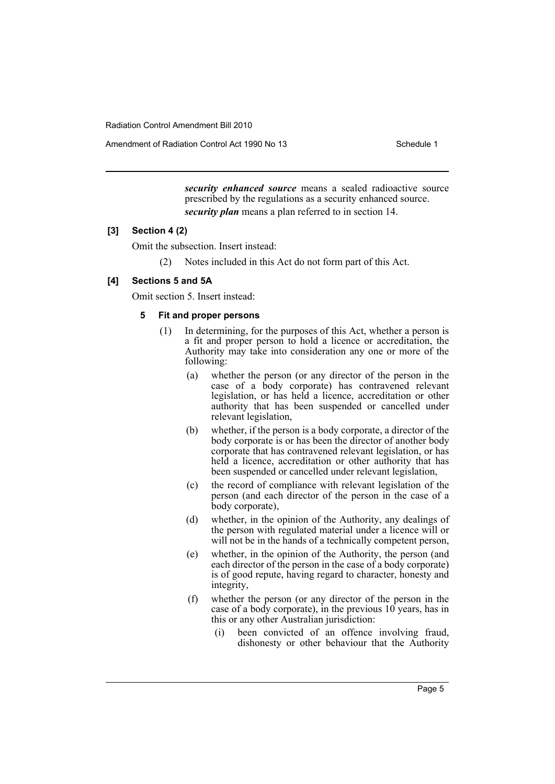Amendment of Radiation Control Act 1990 No 13 Schedule 1

*security enhanced source* means a sealed radioactive source prescribed by the regulations as a security enhanced source. *security plan* means a plan referred to in section 14.

# **[3] Section 4 (2)**

Omit the subsection. Insert instead:

(2) Notes included in this Act do not form part of this Act.

# **[4] Sections 5 and 5A**

Omit section 5. Insert instead:

# **5 Fit and proper persons**

- (1) In determining, for the purposes of this Act, whether a person is a fit and proper person to hold a licence or accreditation, the Authority may take into consideration any one or more of the following:
	- (a) whether the person (or any director of the person in the case of a body corporate) has contravened relevant legislation, or has held a licence, accreditation or other authority that has been suspended or cancelled under relevant legislation,
	- (b) whether, if the person is a body corporate, a director of the body corporate is or has been the director of another body corporate that has contravened relevant legislation, or has held a licence, accreditation or other authority that has been suspended or cancelled under relevant legislation,
	- (c) the record of compliance with relevant legislation of the person (and each director of the person in the case of a body corporate),
	- (d) whether, in the opinion of the Authority, any dealings of the person with regulated material under a licence will or will not be in the hands of a technically competent person,
	- (e) whether, in the opinion of the Authority, the person (and each director of the person in the case of a body corporate) is of good repute, having regard to character, honesty and integrity,
	- (f) whether the person (or any director of the person in the case of a body corporate), in the previous  $10$  years, has in this or any other Australian jurisdiction:
		- (i) been convicted of an offence involving fraud, dishonesty or other behaviour that the Authority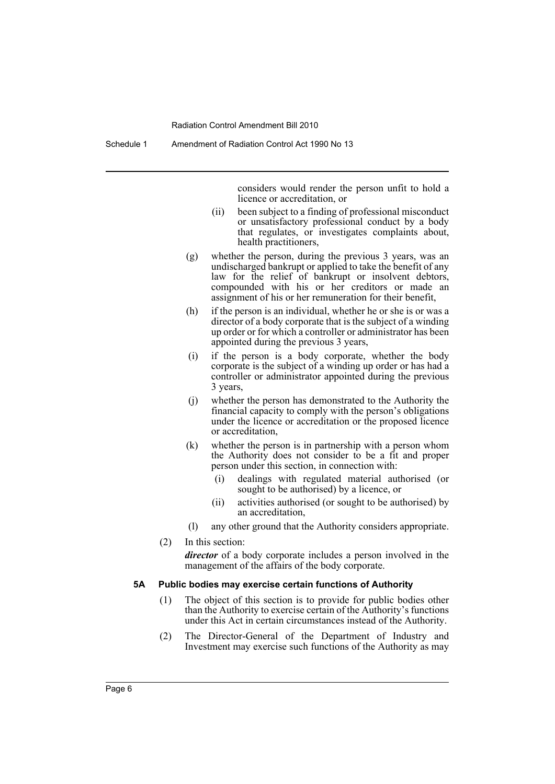Schedule 1 Amendment of Radiation Control Act 1990 No 13

considers would render the person unfit to hold a licence or accreditation, or

- (ii) been subject to a finding of professional misconduct or unsatisfactory professional conduct by a body that regulates, or investigates complaints about, health practitioners,
- (g) whether the person, during the previous 3 years, was an undischarged bankrupt or applied to take the benefit of any law for the relief of bankrupt or insolvent debtors, compounded with his or her creditors or made an assignment of his or her remuneration for their benefit,
- (h) if the person is an individual, whether he or she is or was a director of a body corporate that is the subject of a winding up order or for which a controller or administrator has been appointed during the previous 3 years,
- (i) if the person is a body corporate, whether the body corporate is the subject of a winding up order or has had a controller or administrator appointed during the previous 3 years,
- (j) whether the person has demonstrated to the Authority the financial capacity to comply with the person's obligations under the licence or accreditation or the proposed licence or accreditation,
- (k) whether the person is in partnership with a person whom the Authority does not consider to be a fit and proper person under this section, in connection with:
	- (i) dealings with regulated material authorised (or sought to be authorised) by a licence, or
	- (ii) activities authorised (or sought to be authorised) by an accreditation,
- (l) any other ground that the Authority considers appropriate.
- (2) In this section:

*director* of a body corporate includes a person involved in the management of the affairs of the body corporate.

#### **5A Public bodies may exercise certain functions of Authority**

- (1) The object of this section is to provide for public bodies other than the Authority to exercise certain of the Authority's functions under this Act in certain circumstances instead of the Authority.
- (2) The Director-General of the Department of Industry and Investment may exercise such functions of the Authority as may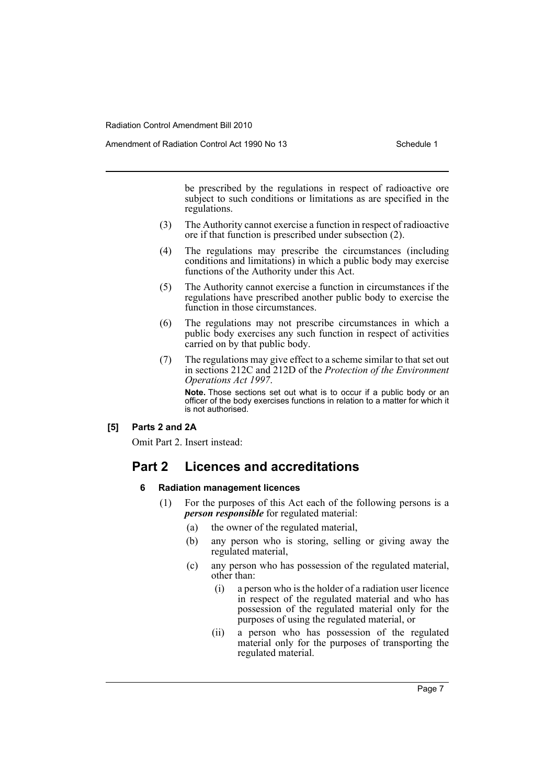be prescribed by the regulations in respect of radioactive ore subject to such conditions or limitations as are specified in the regulations.

- (3) The Authority cannot exercise a function in respect of radioactive ore if that function is prescribed under subsection (2).
- (4) The regulations may prescribe the circumstances (including conditions and limitations) in which a public body may exercise functions of the Authority under this Act.
- (5) The Authority cannot exercise a function in circumstances if the regulations have prescribed another public body to exercise the function in those circumstances.
- (6) The regulations may not prescribe circumstances in which a public body exercises any such function in respect of activities carried on by that public body.
- (7) The regulations may give effect to a scheme similar to that set out in sections 212C and 212D of the *Protection of the Environment Operations Act 1997*.

**Note.** Those sections set out what is to occur if a public body or an officer of the body exercises functions in relation to a matter for which it is not authorised.

**[5] Parts 2 and 2A**

Omit Part 2. Insert instead:

# **Part 2 Licences and accreditations**

## **6 Radiation management licences**

- (1) For the purposes of this Act each of the following persons is a *person responsible* for regulated material:
	- (a) the owner of the regulated material,
	- (b) any person who is storing, selling or giving away the regulated material,
	- (c) any person who has possession of the regulated material, other than:
		- (i) a person who is the holder of a radiation user licence in respect of the regulated material and who has possession of the regulated material only for the purposes of using the regulated material, or
		- (ii) a person who has possession of the regulated material only for the purposes of transporting the regulated material.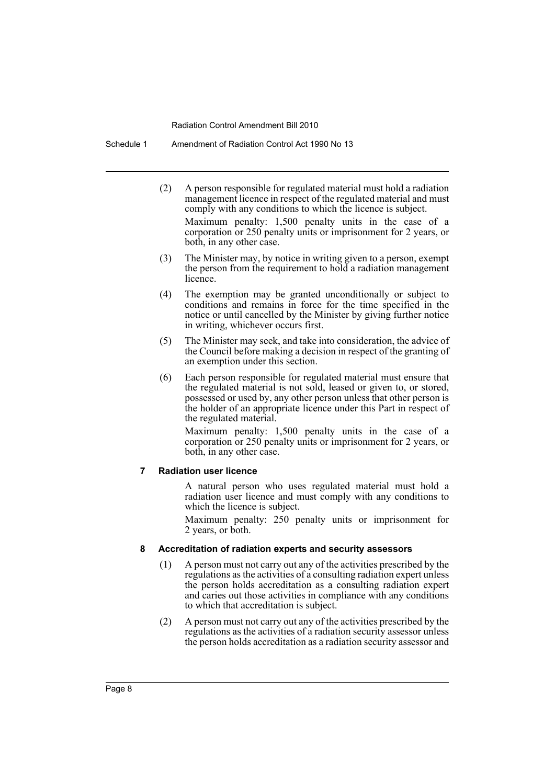Schedule 1 Amendment of Radiation Control Act 1990 No 13

- (2) A person responsible for regulated material must hold a radiation management licence in respect of the regulated material and must comply with any conditions to which the licence is subject. Maximum penalty: 1,500 penalty units in the case of a corporation or 250 penalty units or imprisonment for 2 years, or both, in any other case.
- (3) The Minister may, by notice in writing given to a person, exempt the person from the requirement to hold a radiation management licence.
- (4) The exemption may be granted unconditionally or subject to conditions and remains in force for the time specified in the notice or until cancelled by the Minister by giving further notice in writing, whichever occurs first.
- (5) The Minister may seek, and take into consideration, the advice of the Council before making a decision in respect of the granting of an exemption under this section.
- (6) Each person responsible for regulated material must ensure that the regulated material is not sold, leased or given to, or stored, possessed or used by, any other person unless that other person is the holder of an appropriate licence under this Part in respect of the regulated material.

Maximum penalty: 1,500 penalty units in the case of a corporation or 250 penalty units or imprisonment for 2 years, or both, in any other case.

#### **7 Radiation user licence**

A natural person who uses regulated material must hold a radiation user licence and must comply with any conditions to which the licence is subject.

Maximum penalty: 250 penalty units or imprisonment for 2 years, or both.

#### **8 Accreditation of radiation experts and security assessors**

- (1) A person must not carry out any of the activities prescribed by the regulations as the activities of a consulting radiation expert unless the person holds accreditation as a consulting radiation expert and caries out those activities in compliance with any conditions to which that accreditation is subject.
- (2) A person must not carry out any of the activities prescribed by the regulations as the activities of a radiation security assessor unless the person holds accreditation as a radiation security assessor and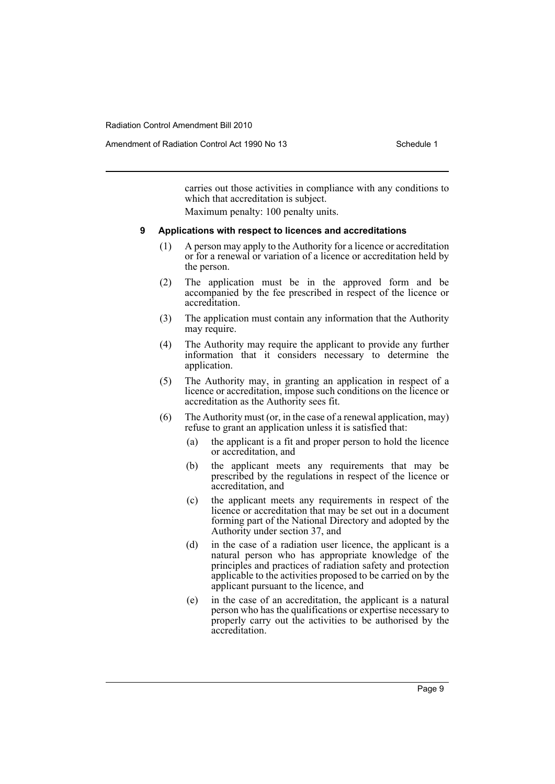Amendment of Radiation Control Act 1990 No 13 Schedule 1

carries out those activities in compliance with any conditions to which that accreditation is subject.

Maximum penalty: 100 penalty units.

#### **9 Applications with respect to licences and accreditations**

- (1) A person may apply to the Authority for a licence or accreditation or for a renewal or variation of a licence or accreditation held by the person.
- (2) The application must be in the approved form and be accompanied by the fee prescribed in respect of the licence or accreditation.
- (3) The application must contain any information that the Authority may require.
- (4) The Authority may require the applicant to provide any further information that it considers necessary to determine the application.
- (5) The Authority may, in granting an application in respect of a licence or accreditation, impose such conditions on the licence or accreditation as the Authority sees fit.
- (6) The Authority must (or, in the case of a renewal application, may) refuse to grant an application unless it is satisfied that:
	- (a) the applicant is a fit and proper person to hold the licence or accreditation, and
	- (b) the applicant meets any requirements that may be prescribed by the regulations in respect of the licence or accreditation, and
	- (c) the applicant meets any requirements in respect of the licence or accreditation that may be set out in a document forming part of the National Directory and adopted by the Authority under section 37, and
	- (d) in the case of a radiation user licence, the applicant is a natural person who has appropriate knowledge of the principles and practices of radiation safety and protection applicable to the activities proposed to be carried on by the applicant pursuant to the licence, and
	- (e) in the case of an accreditation, the applicant is a natural person who has the qualifications or expertise necessary to properly carry out the activities to be authorised by the accreditation.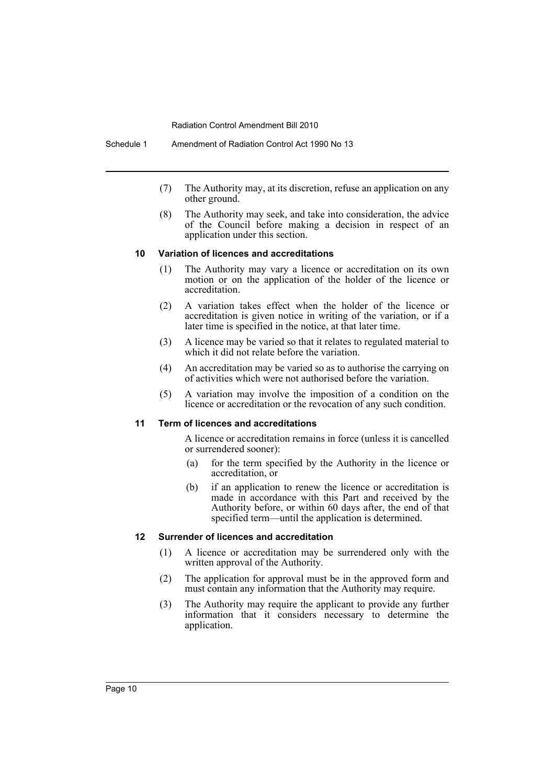Schedule 1 Amendment of Radiation Control Act 1990 No 13

- (7) The Authority may, at its discretion, refuse an application on any other ground.
- (8) The Authority may seek, and take into consideration, the advice of the Council before making a decision in respect of an application under this section.

#### **10 Variation of licences and accreditations**

- (1) The Authority may vary a licence or accreditation on its own motion or on the application of the holder of the licence or accreditation.
- (2) A variation takes effect when the holder of the licence or accreditation is given notice in writing of the variation, or if a later time is specified in the notice, at that later time.
- (3) A licence may be varied so that it relates to regulated material to which it did not relate before the variation.
- (4) An accreditation may be varied so as to authorise the carrying on of activities which were not authorised before the variation.
- (5) A variation may involve the imposition of a condition on the licence or accreditation or the revocation of any such condition.

#### **11 Term of licences and accreditations**

A licence or accreditation remains in force (unless it is cancelled or surrendered sooner):

- (a) for the term specified by the Authority in the licence or accreditation, or
- (b) if an application to renew the licence or accreditation is made in accordance with this Part and received by the Authority before, or within 60 days after, the end of that specified term—until the application is determined.

#### **12 Surrender of licences and accreditation**

- (1) A licence or accreditation may be surrendered only with the written approval of the Authority.
- (2) The application for approval must be in the approved form and must contain any information that the Authority may require.
- (3) The Authority may require the applicant to provide any further information that it considers necessary to determine the application.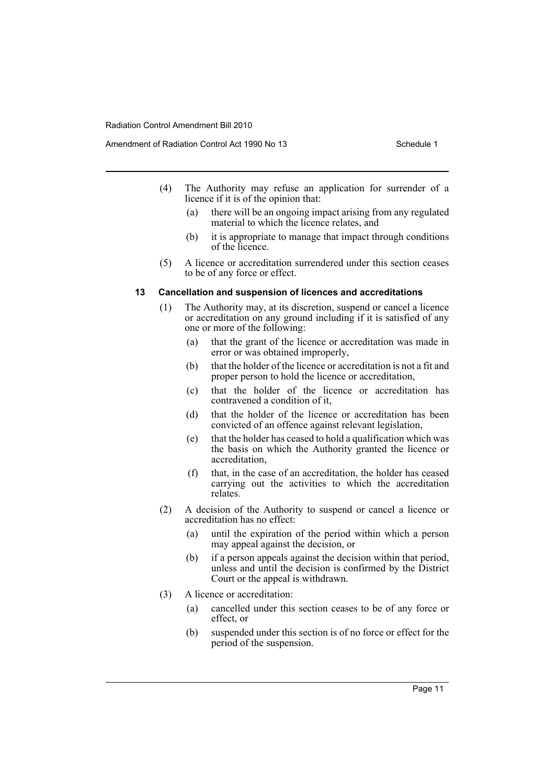Amendment of Radiation Control Act 1990 No 13 Schedule 1

- (4) The Authority may refuse an application for surrender of a licence if it is of the opinion that:
	- (a) there will be an ongoing impact arising from any regulated material to which the licence relates, and
	- (b) it is appropriate to manage that impact through conditions of the licence.
- (5) A licence or accreditation surrendered under this section ceases to be of any force or effect.

#### **13 Cancellation and suspension of licences and accreditations**

- (1) The Authority may, at its discretion, suspend or cancel a licence or accreditation on any ground including if it is satisfied of any one or more of the following:
	- (a) that the grant of the licence or accreditation was made in error or was obtained improperly,
	- (b) that the holder of the licence or accreditation is not a fit and proper person to hold the licence or accreditation,
	- (c) that the holder of the licence or accreditation has contravened a condition of it,
	- (d) that the holder of the licence or accreditation has been convicted of an offence against relevant legislation,
	- (e) that the holder has ceased to hold a qualification which was the basis on which the Authority granted the licence or accreditation,
	- (f) that, in the case of an accreditation, the holder has ceased carrying out the activities to which the accreditation relates.
- (2) A decision of the Authority to suspend or cancel a licence or accreditation has no effect:
	- (a) until the expiration of the period within which a person may appeal against the decision, or
	- (b) if a person appeals against the decision within that period, unless and until the decision is confirmed by the District Court or the appeal is withdrawn.
- (3) A licence or accreditation:
	- (a) cancelled under this section ceases to be of any force or effect, or
	- (b) suspended under this section is of no force or effect for the period of the suspension.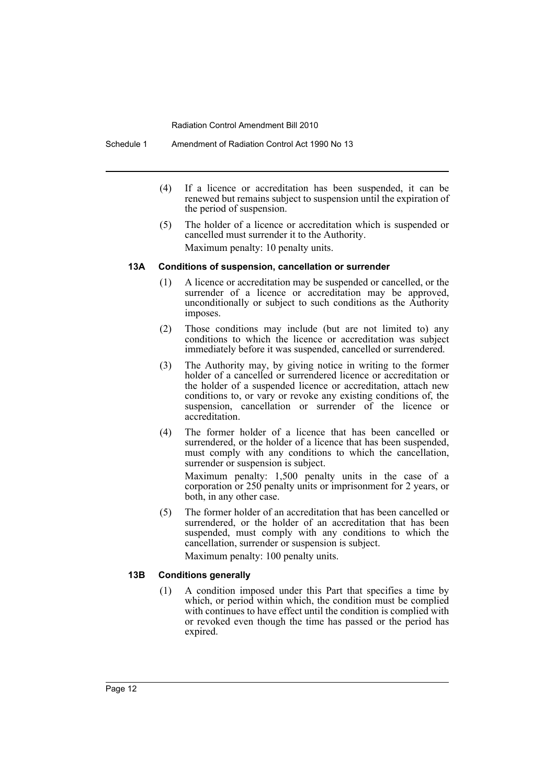Schedule 1 Amendment of Radiation Control Act 1990 No 13

- (4) If a licence or accreditation has been suspended, it can be renewed but remains subject to suspension until the expiration of the period of suspension.
- (5) The holder of a licence or accreditation which is suspended or cancelled must surrender it to the Authority. Maximum penalty: 10 penalty units.

#### **13A Conditions of suspension, cancellation or surrender**

- (1) A licence or accreditation may be suspended or cancelled, or the surrender of a licence or accreditation may be approved, unconditionally or subject to such conditions as the Authority imposes.
- (2) Those conditions may include (but are not limited to) any conditions to which the licence or accreditation was subject immediately before it was suspended, cancelled or surrendered.
- (3) The Authority may, by giving notice in writing to the former holder of a cancelled or surrendered licence or accreditation or the holder of a suspended licence or accreditation, attach new conditions to, or vary or revoke any existing conditions of, the suspension, cancellation or surrender of the licence or accreditation.
- (4) The former holder of a licence that has been cancelled or surrendered, or the holder of a licence that has been suspended, must comply with any conditions to which the cancellation, surrender or suspension is subject.

Maximum penalty: 1,500 penalty units in the case of a corporation or 250 penalty units or imprisonment for 2 years, or both, in any other case.

(5) The former holder of an accreditation that has been cancelled or surrendered, or the holder of an accreditation that has been suspended, must comply with any conditions to which the cancellation, surrender or suspension is subject. Maximum penalty: 100 penalty units.

# **13B Conditions generally**

(1) A condition imposed under this Part that specifies a time by which, or period within which, the condition must be complied with continues to have effect until the condition is complied with or revoked even though the time has passed or the period has expired.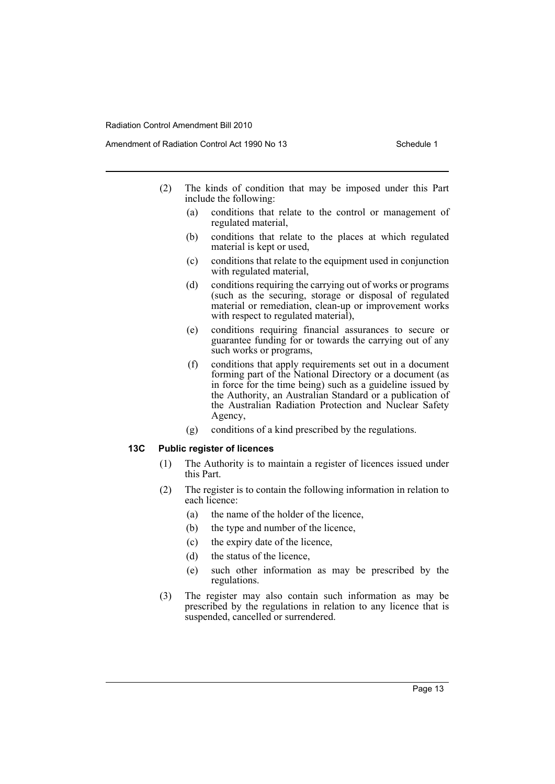Amendment of Radiation Control Act 1990 No 13 Schedule 1

- (2) The kinds of condition that may be imposed under this Part include the following:
	- (a) conditions that relate to the control or management of regulated material,
	- (b) conditions that relate to the places at which regulated material is kept or used,
	- (c) conditions that relate to the equipment used in conjunction with regulated material,
	- (d) conditions requiring the carrying out of works or programs (such as the securing, storage or disposal of regulated material or remediation, clean-up or improvement works with respect to regulated material),
	- (e) conditions requiring financial assurances to secure or guarantee funding for or towards the carrying out of any such works or programs,
	- (f) conditions that apply requirements set out in a document forming part of the National Directory or a document (as in force for the time being) such as a guideline issued by the Authority, an Australian Standard or a publication of the Australian Radiation Protection and Nuclear Safety Agency,
	- (g) conditions of a kind prescribed by the regulations.

#### **13C Public register of licences**

- (1) The Authority is to maintain a register of licences issued under this Part.
- (2) The register is to contain the following information in relation to each licence:
	- (a) the name of the holder of the licence,
	- (b) the type and number of the licence,
	- (c) the expiry date of the licence,
	- (d) the status of the licence,
	- (e) such other information as may be prescribed by the regulations.
- (3) The register may also contain such information as may be prescribed by the regulations in relation to any licence that is suspended, cancelled or surrendered.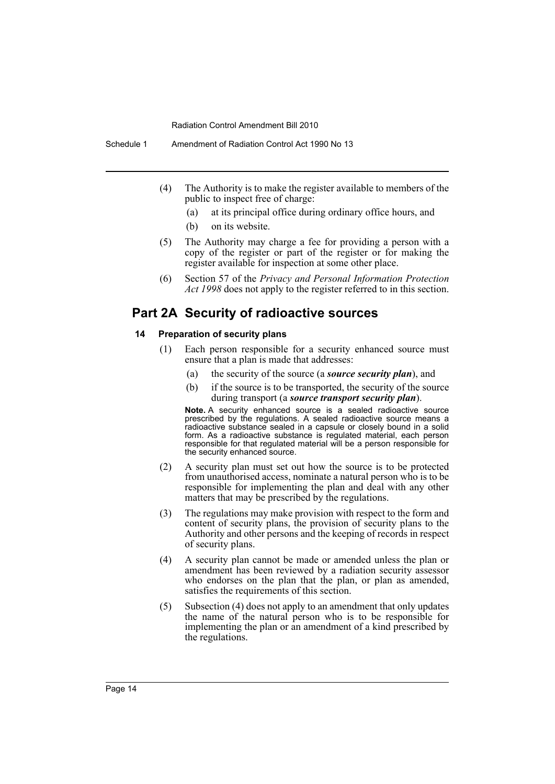- (4) The Authority is to make the register available to members of the public to inspect free of charge:
	- (a) at its principal office during ordinary office hours, and
	- (b) on its website.
- (5) The Authority may charge a fee for providing a person with a copy of the register or part of the register or for making the register available for inspection at some other place.
- (6) Section 57 of the *Privacy and Personal Information Protection Act 1998* does not apply to the register referred to in this section.

# **Part 2A Security of radioactive sources**

#### **14 Preparation of security plans**

- (1) Each person responsible for a security enhanced source must ensure that a plan is made that addresses:
	- (a) the security of the source (a *source security plan*), and
	- (b) if the source is to be transported, the security of the source during transport (a *source transport security plan*).

**Note.** A security enhanced source is a sealed radioactive source prescribed by the regulations. A sealed radioactive source means a radioactive substance sealed in a capsule or closely bound in a solid form. As a radioactive substance is regulated material, each person responsible for that regulated material will be a person responsible for the security enhanced source.

- (2) A security plan must set out how the source is to be protected from unauthorised access, nominate a natural person who is to be responsible for implementing the plan and deal with any other matters that may be prescribed by the regulations.
- (3) The regulations may make provision with respect to the form and content of security plans, the provision of security plans to the Authority and other persons and the keeping of records in respect of security plans.
- (4) A security plan cannot be made or amended unless the plan or amendment has been reviewed by a radiation security assessor who endorses on the plan that the plan, or plan as amended, satisfies the requirements of this section.
- (5) Subsection (4) does not apply to an amendment that only updates the name of the natural person who is to be responsible for implementing the plan or an amendment of a kind prescribed by the regulations.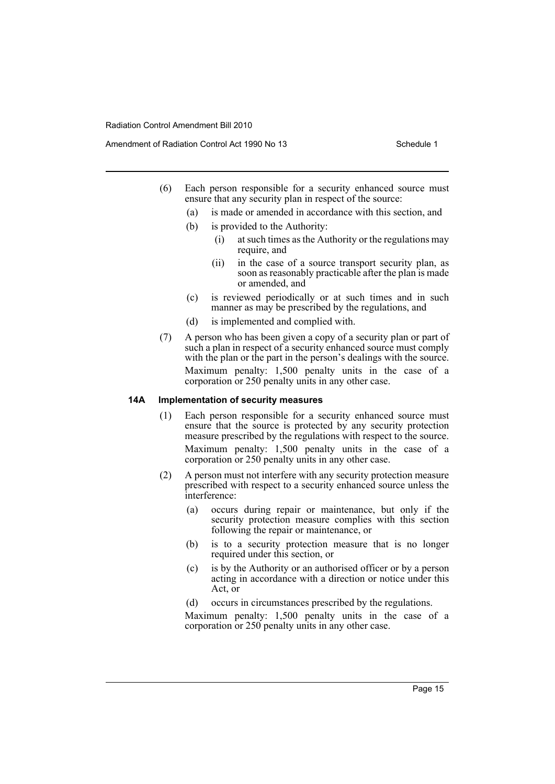Amendment of Radiation Control Act 1990 No 13 Schedule 1

- (6) Each person responsible for a security enhanced source must ensure that any security plan in respect of the source:
	- (a) is made or amended in accordance with this section, and
	- (b) is provided to the Authority:
		- (i) at such times as the Authority or the regulations may require, and
		- (ii) in the case of a source transport security plan, as soon as reasonably practicable after the plan is made or amended, and
	- (c) is reviewed periodically or at such times and in such manner as may be prescribed by the regulations, and
	- (d) is implemented and complied with.
- (7) A person who has been given a copy of a security plan or part of such a plan in respect of a security enhanced source must comply with the plan or the part in the person's dealings with the source. Maximum penalty: 1,500 penalty units in the case of a corporation or 250 penalty units in any other case.

#### **14A Implementation of security measures**

- (1) Each person responsible for a security enhanced source must ensure that the source is protected by any security protection measure prescribed by the regulations with respect to the source. Maximum penalty: 1,500 penalty units in the case of a corporation or 250 penalty units in any other case.
- (2) A person must not interfere with any security protection measure prescribed with respect to a security enhanced source unless the interference:
	- (a) occurs during repair or maintenance, but only if the security protection measure complies with this section following the repair or maintenance, or
	- (b) is to a security protection measure that is no longer required under this section, or
	- (c) is by the Authority or an authorised officer or by a person acting in accordance with a direction or notice under this Act, or
	- (d) occurs in circumstances prescribed by the regulations.

Maximum penalty: 1,500 penalty units in the case of a corporation or 250 penalty units in any other case.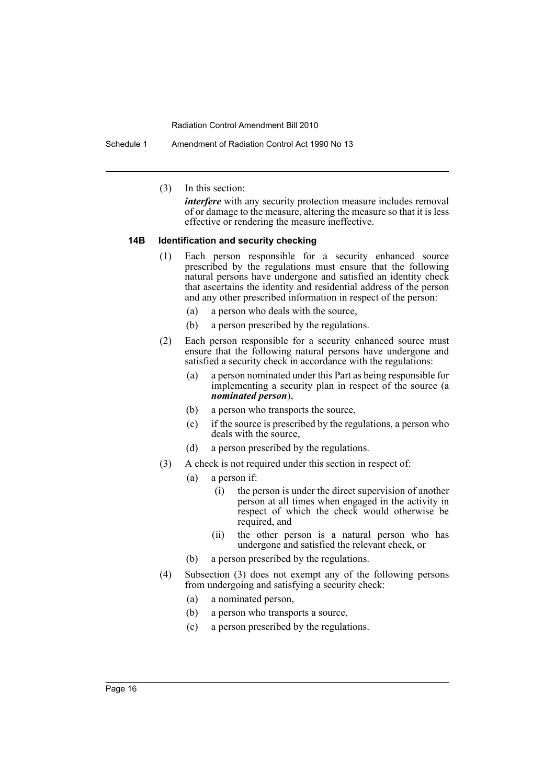Schedule 1 Amendment of Radiation Control Act 1990 No 13

(3) In this section:

*interfere* with any security protection measure includes removal of or damage to the measure, altering the measure so that it is less effective or rendering the measure ineffective.

## **14B Identification and security checking**

- (1) Each person responsible for a security enhanced source prescribed by the regulations must ensure that the following natural persons have undergone and satisfied an identity check that ascertains the identity and residential address of the person and any other prescribed information in respect of the person:
	- (a) a person who deals with the source,
	- (b) a person prescribed by the regulations.
- (2) Each person responsible for a security enhanced source must ensure that the following natural persons have undergone and satisfied a security check in accordance with the regulations:
	- (a) a person nominated under this Part as being responsible for implementing a security plan in respect of the source (a *nominated person*),
	- (b) a person who transports the source,
	- (c) if the source is prescribed by the regulations, a person who deals with the source,
	- (d) a person prescribed by the regulations.
- (3) A check is not required under this section in respect of:
	- (a) a person if:
		- (i) the person is under the direct supervision of another person at all times when engaged in the activity in respect of which the check would otherwise be required, and
		- (ii) the other person is a natural person who has undergone and satisfied the relevant check, or
	- (b) a person prescribed by the regulations.
- (4) Subsection (3) does not exempt any of the following persons from undergoing and satisfying a security check:
	- (a) a nominated person,
	- (b) a person who transports a source,
	- (c) a person prescribed by the regulations.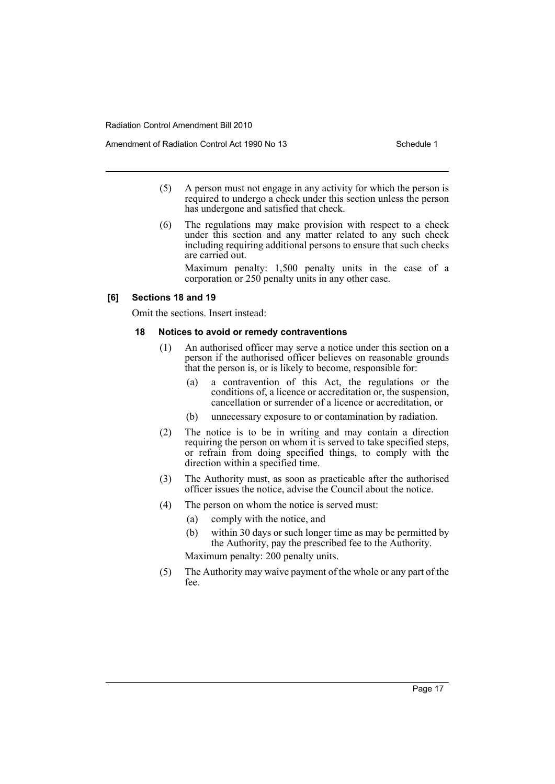Amendment of Radiation Control Act 1990 No 13 Schedule 1

- (5) A person must not engage in any activity for which the person is required to undergo a check under this section unless the person has undergone and satisfied that check.
- (6) The regulations may make provision with respect to a check under this section and any matter related to any such check including requiring additional persons to ensure that such checks are carried out.

Maximum penalty: 1,500 penalty units in the case of a corporation or 250 penalty units in any other case.

#### **[6] Sections 18 and 19**

Omit the sections. Insert instead:

#### **18 Notices to avoid or remedy contraventions**

- (1) An authorised officer may serve a notice under this section on a person if the authorised officer believes on reasonable grounds that the person is, or is likely to become, responsible for:
	- (a) a contravention of this Act, the regulations or the conditions of, a licence or accreditation or, the suspension, cancellation or surrender of a licence or accreditation, or
	- (b) unnecessary exposure to or contamination by radiation.
- (2) The notice is to be in writing and may contain a direction requiring the person on whom it is served to take specified steps, or refrain from doing specified things, to comply with the direction within a specified time.
- (3) The Authority must, as soon as practicable after the authorised officer issues the notice, advise the Council about the notice.
- (4) The person on whom the notice is served must:
	- (a) comply with the notice, and
	- (b) within 30 days or such longer time as may be permitted by the Authority, pay the prescribed fee to the Authority. Maximum penalty: 200 penalty units.
	-
- (5) The Authority may waive payment of the whole or any part of the fee.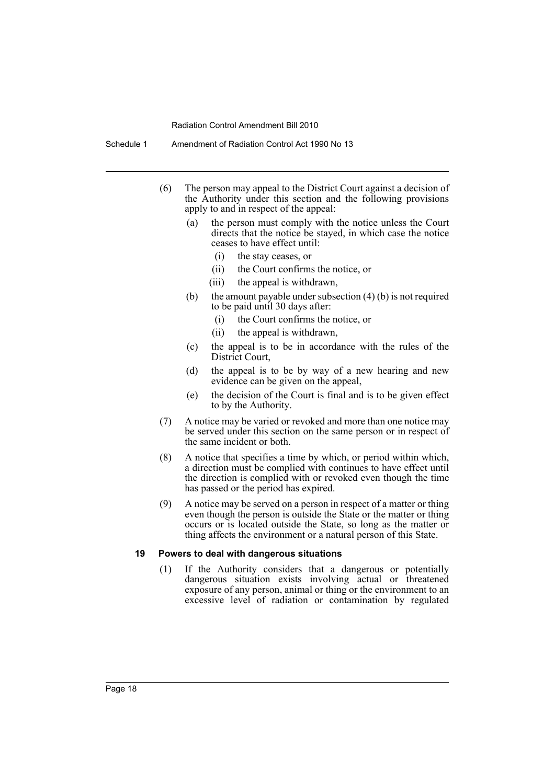- (6) The person may appeal to the District Court against a decision of the Authority under this section and the following provisions apply to and in respect of the appeal:
	- (a) the person must comply with the notice unless the Court directs that the notice be stayed, in which case the notice ceases to have effect until:
		- (i) the stay ceases, or
		- (ii) the Court confirms the notice, or
		- (iii) the appeal is withdrawn,
	- (b) the amount payable under subsection  $(4)$  (b) is not required to be paid until 30 days after:
		- (i) the Court confirms the notice, or
		- (ii) the appeal is withdrawn,
	- (c) the appeal is to be in accordance with the rules of the District Court,
	- (d) the appeal is to be by way of a new hearing and new evidence can be given on the appeal,
	- (e) the decision of the Court is final and is to be given effect to by the Authority.
- (7) A notice may be varied or revoked and more than one notice may be served under this section on the same person or in respect of the same incident or both.
- (8) A notice that specifies a time by which, or period within which, a direction must be complied with continues to have effect until the direction is complied with or revoked even though the time has passed or the period has expired.
- (9) A notice may be served on a person in respect of a matter or thing even though the person is outside the State or the matter or thing occurs or is located outside the State, so long as the matter or thing affects the environment or a natural person of this State.

#### **19 Powers to deal with dangerous situations**

(1) If the Authority considers that a dangerous or potentially dangerous situation exists involving actual or threatened exposure of any person, animal or thing or the environment to an excessive level of radiation or contamination by regulated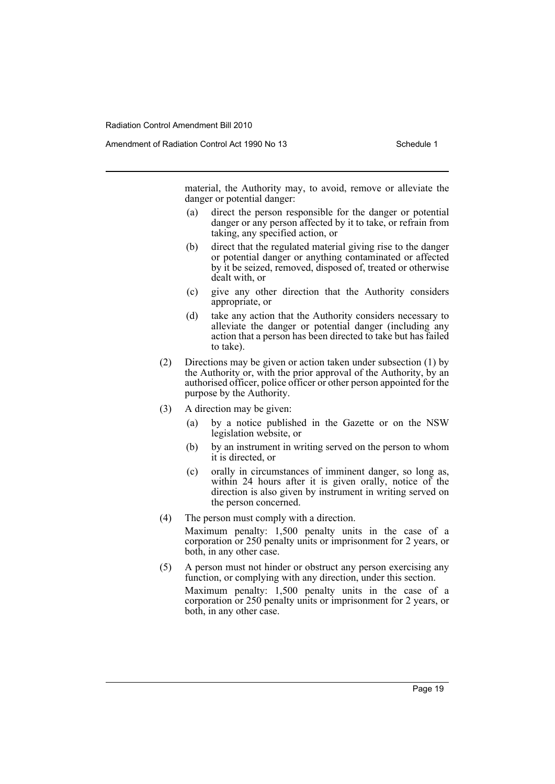Amendment of Radiation Control Act 1990 No 13 Schedule 1

material, the Authority may, to avoid, remove or alleviate the danger or potential danger:

- (a) direct the person responsible for the danger or potential danger or any person affected by it to take, or refrain from taking, any specified action, or
- (b) direct that the regulated material giving rise to the danger or potential danger or anything contaminated or affected by it be seized, removed, disposed of, treated or otherwise dealt with, or
- (c) give any other direction that the Authority considers appropriate, or
- (d) take any action that the Authority considers necessary to alleviate the danger or potential danger (including any action that a person has been directed to take but has failed to take).
- (2) Directions may be given or action taken under subsection (1) by the Authority or, with the prior approval of the Authority, by an authorised officer, police officer or other person appointed for the purpose by the Authority.
- (3) A direction may be given:
	- (a) by a notice published in the Gazette or on the NSW legislation website, or
	- (b) by an instrument in writing served on the person to whom it is directed, or
	- (c) orally in circumstances of imminent danger, so long as, within 24 hours after it is given orally, notice of the direction is also given by instrument in writing served on the person concerned.
- (4) The person must comply with a direction. Maximum penalty: 1,500 penalty units in the case of a corporation or 250 penalty units or imprisonment for 2 years, or both, in any other case.
- (5) A person must not hinder or obstruct any person exercising any function, or complying with any direction, under this section. Maximum penalty: 1,500 penalty units in the case of a corporation or 250 penalty units or imprisonment for 2 years, or both, in any other case.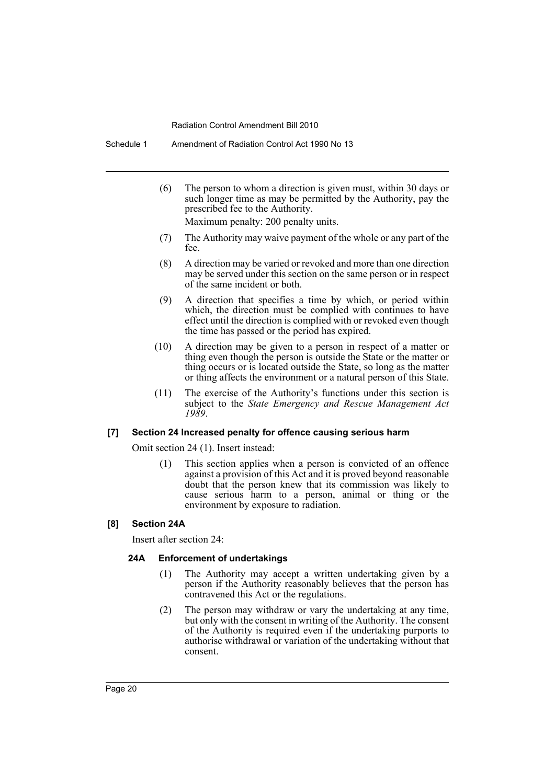Schedule 1 Amendment of Radiation Control Act 1990 No 13

- (6) The person to whom a direction is given must, within 30 days or such longer time as may be permitted by the Authority, pay the prescribed fee to the Authority. Maximum penalty: 200 penalty units.
- (7) The Authority may waive payment of the whole or any part of the fee.
- (8) A direction may be varied or revoked and more than one direction may be served under this section on the same person or in respect of the same incident or both.
- (9) A direction that specifies a time by which, or period within which, the direction must be complied with continues to have effect until the direction is complied with or revoked even though the time has passed or the period has expired.
- (10) A direction may be given to a person in respect of a matter or thing even though the person is outside the State or the matter or thing occurs or is located outside the State, so long as the matter or thing affects the environment or a natural person of this State.
- (11) The exercise of the Authority's functions under this section is subject to the *State Emergency and Rescue Management Act 1989*.

# **[7] Section 24 Increased penalty for offence causing serious harm**

Omit section 24 (1). Insert instead:

(1) This section applies when a person is convicted of an offence against a provision of this Act and it is proved beyond reasonable doubt that the person knew that its commission was likely to cause serious harm to a person, animal or thing or the environment by exposure to radiation.

# **[8] Section 24A**

Insert after section 24:

# **24A Enforcement of undertakings**

- (1) The Authority may accept a written undertaking given by a person if the Authority reasonably believes that the person has contravened this Act or the regulations.
- (2) The person may withdraw or vary the undertaking at any time, but only with the consent in writing of the Authority. The consent of the Authority is required even if the undertaking purports to authorise withdrawal or variation of the undertaking without that consent.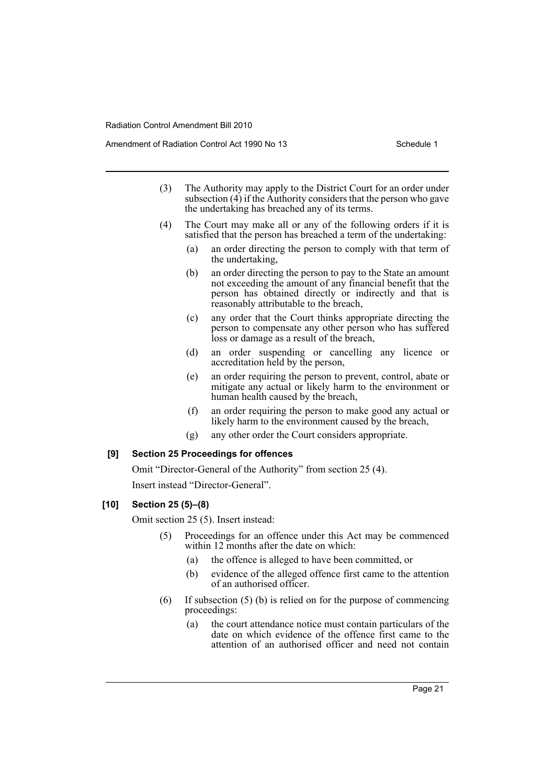Amendment of Radiation Control Act 1990 No 13 Schedule 1

- (3) The Authority may apply to the District Court for an order under subsection  $(4)$  if the Authority considers that the person who gave the undertaking has breached any of its terms.
- (4) The Court may make all or any of the following orders if it is satisfied that the person has breached a term of the undertaking:
	- (a) an order directing the person to comply with that term of the undertaking,
	- (b) an order directing the person to pay to the State an amount not exceeding the amount of any financial benefit that the person has obtained directly or indirectly and that is reasonably attributable to the breach,
	- (c) any order that the Court thinks appropriate directing the person to compensate any other person who has suffered loss or damage as a result of the breach,
	- (d) an order suspending or cancelling any licence or accreditation held by the person,
	- (e) an order requiring the person to prevent, control, abate or mitigate any actual or likely harm to the environment or human health caused by the breach,
	- (f) an order requiring the person to make good any actual or likely harm to the environment caused by the breach,
	- (g) any other order the Court considers appropriate.

#### **[9] Section 25 Proceedings for offences**

Omit "Director-General of the Authority" from section 25 (4).

Insert instead "Director-General".

#### **[10] Section 25 (5)–(8)**

Omit section 25 (5). Insert instead:

- (5) Proceedings for an offence under this Act may be commenced within 12 months after the date on which:
	- (a) the offence is alleged to have been committed, or
	- (b) evidence of the alleged offence first came to the attention of an authorised officer.
- (6) If subsection  $(5)$  (b) is relied on for the purpose of commencing proceedings:
	- (a) the court attendance notice must contain particulars of the date on which evidence of the offence first came to the attention of an authorised officer and need not contain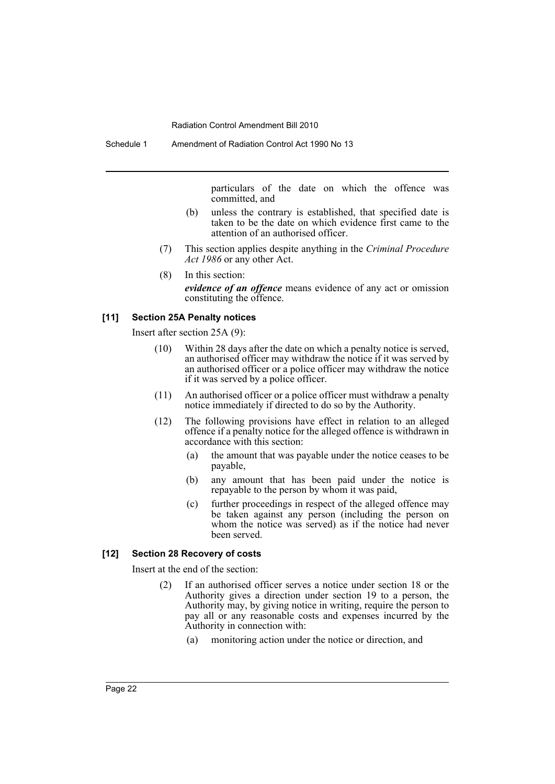Schedule 1 Amendment of Radiation Control Act 1990 No 13

particulars of the date on which the offence was committed, and

- (b) unless the contrary is established, that specified date is taken to be the date on which evidence first came to the attention of an authorised officer.
- (7) This section applies despite anything in the *Criminal Procedure Act 1986* or any other Act.
- (8) In this section: *evidence of an offence* means evidence of any act or omission constituting the offence.

# **[11] Section 25A Penalty notices**

Insert after section 25A (9):

- (10) Within 28 days after the date on which a penalty notice is served, an authorised officer may withdraw the notice if it was served by an authorised officer or a police officer may withdraw the notice if it was served by a police officer.
- (11) An authorised officer or a police officer must withdraw a penalty notice immediately if directed to do so by the Authority.
- (12) The following provisions have effect in relation to an alleged offence if a penalty notice for the alleged offence is withdrawn in accordance with this section:
	- (a) the amount that was payable under the notice ceases to be payable,
	- (b) any amount that has been paid under the notice is repayable to the person by whom it was paid,
	- (c) further proceedings in respect of the alleged offence may be taken against any person (including the person on whom the notice was served) as if the notice had never been served.

#### **[12] Section 28 Recovery of costs**

Insert at the end of the section:

- (2) If an authorised officer serves a notice under section 18 or the Authority gives a direction under section 19 to a person, the Authority may, by giving notice in writing, require the person to pay all or any reasonable costs and expenses incurred by the Authority in connection with:
	- (a) monitoring action under the notice or direction, and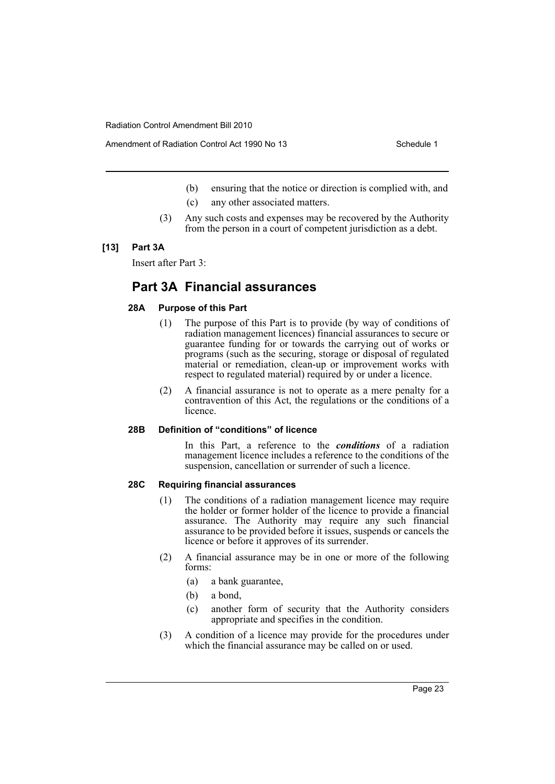Amendment of Radiation Control Act 1990 No 13 Schedule 1

- (b) ensuring that the notice or direction is complied with, and
- (c) any other associated matters.
- (3) Any such costs and expenses may be recovered by the Authority from the person in a court of competent jurisdiction as a debt.

# **[13] Part 3A**

Insert after Part 3:

# **Part 3A Financial assurances**

# **28A Purpose of this Part**

- (1) The purpose of this Part is to provide (by way of conditions of radiation management licences) financial assurances to secure or guarantee funding for or towards the carrying out of works or programs (such as the securing, storage or disposal of regulated material or remediation, clean-up or improvement works with respect to regulated material) required by or under a licence.
- (2) A financial assurance is not to operate as a mere penalty for a contravention of this Act, the regulations or the conditions of a licence.

#### **28B Definition of "conditions" of licence**

In this Part, a reference to the *conditions* of a radiation management licence includes a reference to the conditions of the suspension, cancellation or surrender of such a licence.

# **28C Requiring financial assurances**

- (1) The conditions of a radiation management licence may require the holder or former holder of the licence to provide a financial assurance. The Authority may require any such financial assurance to be provided before it issues, suspends or cancels the licence or before it approves of its surrender.
- (2) A financial assurance may be in one or more of the following forms:
	- (a) a bank guarantee,
	- (b) a bond,
	- (c) another form of security that the Authority considers appropriate and specifies in the condition.
- (3) A condition of a licence may provide for the procedures under which the financial assurance may be called on or used.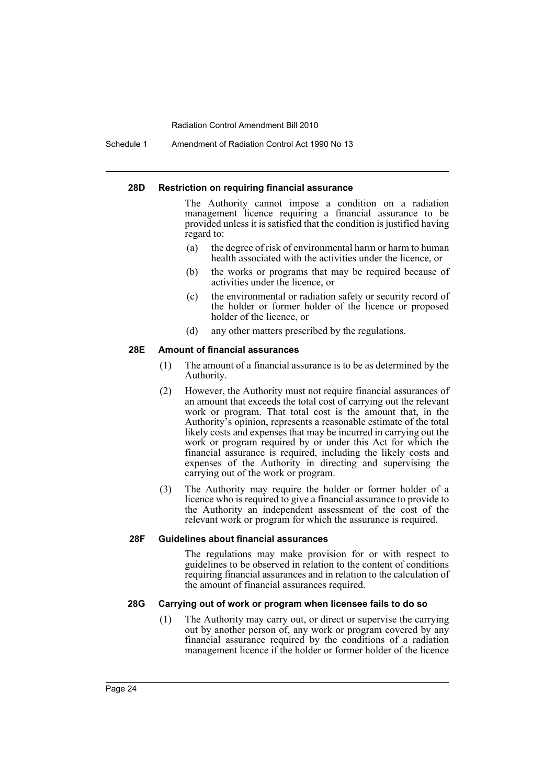Schedule 1 Amendment of Radiation Control Act 1990 No 13

#### **28D Restriction on requiring financial assurance**

The Authority cannot impose a condition on a radiation management licence requiring a financial assurance to be provided unless it is satisfied that the condition is justified having regard to:

- (a) the degree of risk of environmental harm or harm to human health associated with the activities under the licence, or
- (b) the works or programs that may be required because of activities under the licence, or
- (c) the environmental or radiation safety or security record of the holder or former holder of the licence or proposed holder of the licence, or
- (d) any other matters prescribed by the regulations.

#### **28E Amount of financial assurances**

- (1) The amount of a financial assurance is to be as determined by the Authority.
- (2) However, the Authority must not require financial assurances of an amount that exceeds the total cost of carrying out the relevant work or program. That total cost is the amount that, in the Authority's opinion, represents a reasonable estimate of the total likely costs and expenses that may be incurred in carrying out the work or program required by or under this Act for which the financial assurance is required, including the likely costs and expenses of the Authority in directing and supervising the carrying out of the work or program.
- (3) The Authority may require the holder or former holder of a licence who is required to give a financial assurance to provide to the Authority an independent assessment of the cost of the relevant work or program for which the assurance is required.

#### **28F Guidelines about financial assurances**

The regulations may make provision for or with respect to guidelines to be observed in relation to the content of conditions requiring financial assurances and in relation to the calculation of the amount of financial assurances required.

#### **28G Carrying out of work or program when licensee fails to do so**

(1) The Authority may carry out, or direct or supervise the carrying out by another person of, any work or program covered by any financial assurance required by the conditions of a radiation management licence if the holder or former holder of the licence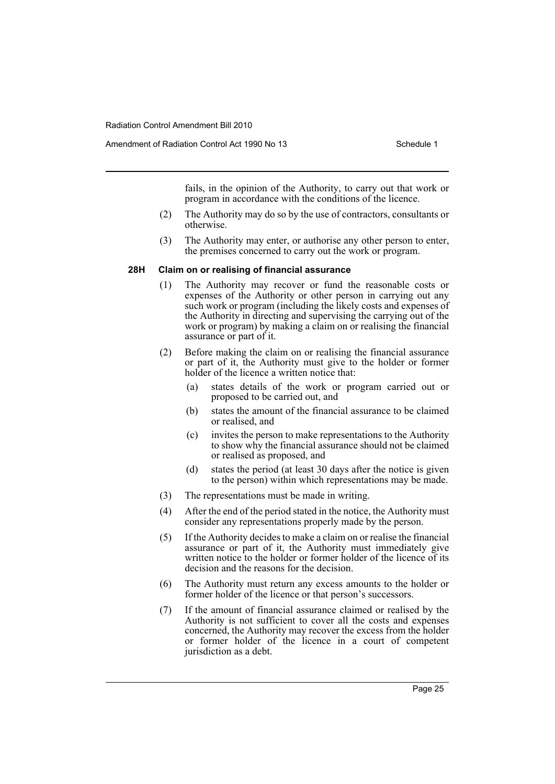fails, in the opinion of the Authority, to carry out that work or program in accordance with the conditions of the licence.

- (2) The Authority may do so by the use of contractors, consultants or otherwise.
- (3) The Authority may enter, or authorise any other person to enter, the premises concerned to carry out the work or program.

#### **28H Claim on or realising of financial assurance**

- (1) The Authority may recover or fund the reasonable costs or expenses of the Authority or other person in carrying out any such work or program (including the likely costs and expenses of the Authority in directing and supervising the carrying out of the work or program) by making a claim on or realising the financial assurance or part of it.
- (2) Before making the claim on or realising the financial assurance or part of it, the Authority must give to the holder or former holder of the licence a written notice that:
	- (a) states details of the work or program carried out or proposed to be carried out, and
	- (b) states the amount of the financial assurance to be claimed or realised, and
	- (c) invites the person to make representations to the Authority to show why the financial assurance should not be claimed or realised as proposed, and
	- (d) states the period (at least 30 days after the notice is given to the person) within which representations may be made.
- (3) The representations must be made in writing.
- (4) After the end of the period stated in the notice, the Authority must consider any representations properly made by the person.
- (5) If the Authority decides to make a claim on or realise the financial assurance or part of it, the Authority must immediately give written notice to the holder or former holder of the licence of its decision and the reasons for the decision.
- (6) The Authority must return any excess amounts to the holder or former holder of the licence or that person's successors.
- (7) If the amount of financial assurance claimed or realised by the Authority is not sufficient to cover all the costs and expenses concerned, the Authority may recover the excess from the holder or former holder of the licence in a court of competent jurisdiction as a debt.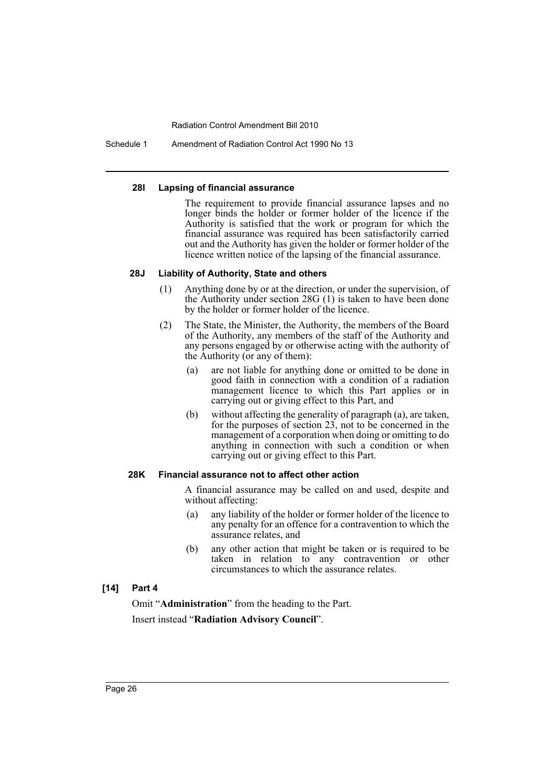Schedule 1 Amendment of Radiation Control Act 1990 No 13

#### **28I Lapsing of financial assurance**

The requirement to provide financial assurance lapses and no longer binds the holder or former holder of the licence if the Authority is satisfied that the work or program for which the financial assurance was required has been satisfactorily carried out and the Authority has given the holder or former holder of the licence written notice of the lapsing of the financial assurance.

# **28J Liability of Authority, State and others**

- (1) Anything done by or at the direction, or under the supervision, of the Authority under section 28G (1) is taken to have been done by the holder or former holder of the licence.
- (2) The State, the Minister, the Authority, the members of the Board of the Authority, any members of the staff of the Authority and any persons engaged by or otherwise acting with the authority of the Authority (or any of them):
	- (a) are not liable for anything done or omitted to be done in good faith in connection with a condition of a radiation management licence to which this Part applies or in carrying out or giving effect to this Part, and
	- (b) without affecting the generality of paragraph (a), are taken, for the purposes of section 23, not to be concerned in the management of a corporation when doing or omitting to do anything in connection with such a condition or when carrying out or giving effect to this Part.

# **28K Financial assurance not to affect other action**

A financial assurance may be called on and used, despite and without affecting:

- (a) any liability of the holder or former holder of the licence to any penalty for an offence for a contravention to which the assurance relates, and
- (b) any other action that might be taken or is required to be taken in relation to any contravention or other circumstances to which the assurance relates.

# **[14] Part 4**

Omit "**Administration**" from the heading to the Part. Insert instead "**Radiation Advisory Council**".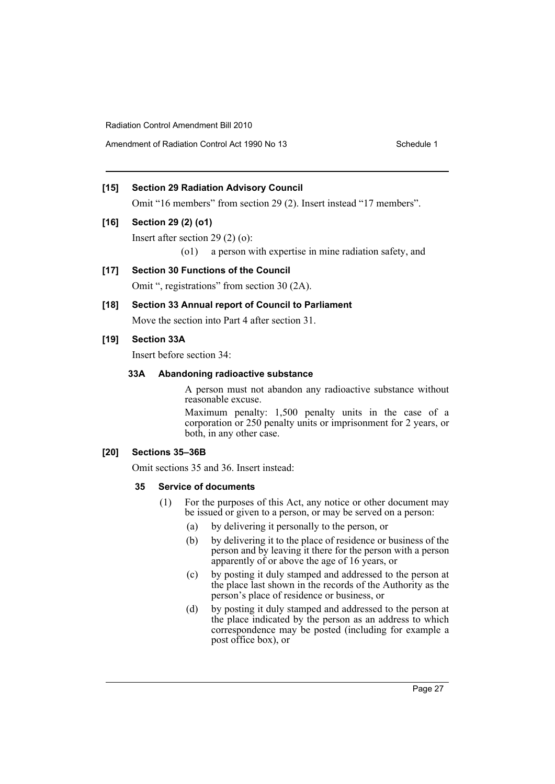Amendment of Radiation Control Act 1990 No 13 Schedule 1

# **[15] Section 29 Radiation Advisory Council**

Omit "16 members" from section 29 (2). Insert instead "17 members".

# **[16] Section 29 (2) (o1)**

Insert after section 29 (2) (o):

(o1) a person with expertise in mine radiation safety, and

# **[17] Section 30 Functions of the Council**

Omit ", registrations" from section 30 (2A).

# **[18] Section 33 Annual report of Council to Parliament**

Move the section into Part 4 after section 31.

# **[19] Section 33A**

Insert before section 34:

# **33A Abandoning radioactive substance**

A person must not abandon any radioactive substance without reasonable excuse.

Maximum penalty: 1,500 penalty units in the case of a corporation or 250 penalty units or imprisonment for 2 years, or both, in any other case.

# **[20] Sections 35–36B**

Omit sections 35 and 36. Insert instead:

# **35 Service of documents**

- (1) For the purposes of this Act, any notice or other document may be issued or given to a person, or may be served on a person:
	- (a) by delivering it personally to the person, or
	- (b) by delivering it to the place of residence or business of the person and by leaving it there for the person with a person apparently of or above the age of 16 years, or
	- (c) by posting it duly stamped and addressed to the person at the place last shown in the records of the Authority as the person's place of residence or business, or
	- (d) by posting it duly stamped and addressed to the person at the place indicated by the person as an address to which correspondence may be posted (including for example a post office box), or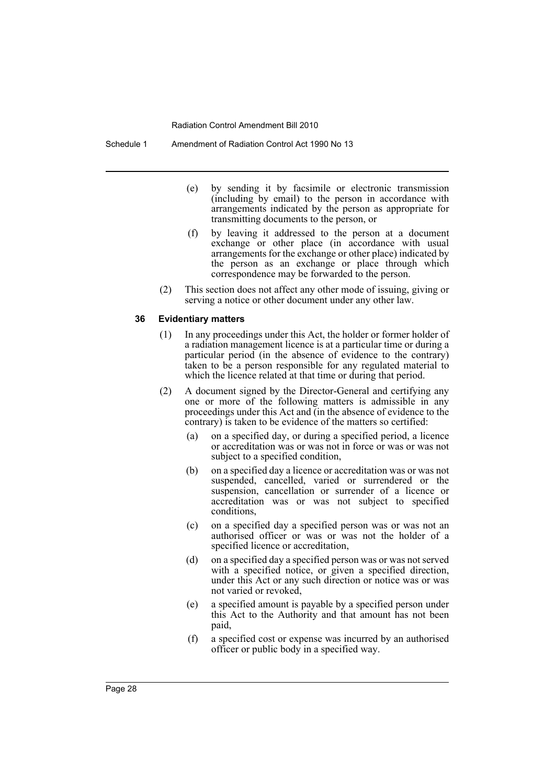Schedule 1 Amendment of Radiation Control Act 1990 No 13

- (e) by sending it by facsimile or electronic transmission (including by email) to the person in accordance with arrangements indicated by the person as appropriate for transmitting documents to the person, or
- (f) by leaving it addressed to the person at a document exchange or other place (in accordance with usual arrangements for the exchange or other place) indicated by the person as an exchange or place through which correspondence may be forwarded to the person.
- (2) This section does not affect any other mode of issuing, giving or serving a notice or other document under any other law.

#### **36 Evidentiary matters**

- (1) In any proceedings under this Act, the holder or former holder of a radiation management licence is at a particular time or during a particular period (in the absence of evidence to the contrary) taken to be a person responsible for any regulated material to which the licence related at that time or during that period.
- (2) A document signed by the Director-General and certifying any one or more of the following matters is admissible in any proceedings under this Act and (in the absence of evidence to the contrary) is taken to be evidence of the matters so certified:
	- (a) on a specified day, or during a specified period, a licence or accreditation was or was not in force or was or was not subject to a specified condition,
	- (b) on a specified day a licence or accreditation was or was not suspended, cancelled, varied or surrendered or the suspension, cancellation or surrender of a licence or accreditation was or was not subject to specified conditions,
	- (c) on a specified day a specified person was or was not an authorised officer or was or was not the holder of a specified licence or accreditation,
	- (d) on a specified day a specified person was or was not served with a specified notice, or given a specified direction, under this Act or any such direction or notice was or was not varied or revoked,
	- (e) a specified amount is payable by a specified person under this Act to the Authority and that amount has not been paid,
	- (f) a specified cost or expense was incurred by an authorised officer or public body in a specified way.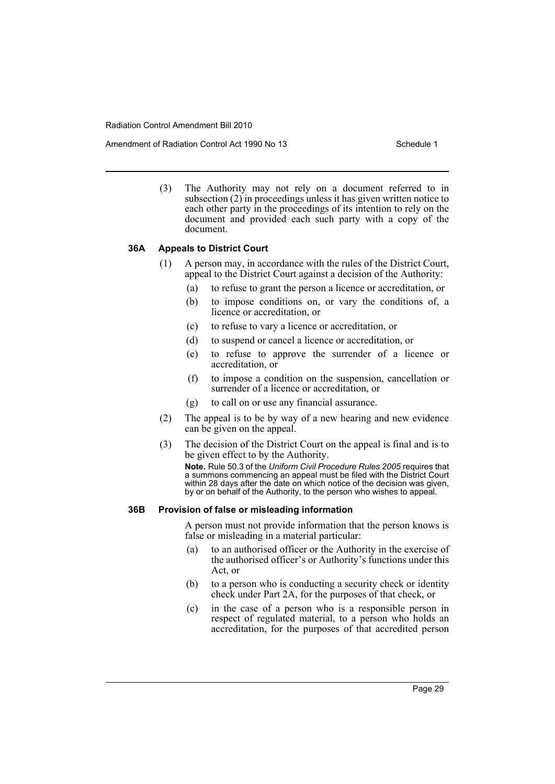Amendment of Radiation Control Act 1990 No 13 Schedule 1

(3) The Authority may not rely on a document referred to in subsection (2) in proceedings unless it has given written notice to each other party in the proceedings of its intention to rely on the document and provided each such party with a copy of the document.

#### **36A Appeals to District Court**

- (1) A person may, in accordance with the rules of the District Court, appeal to the District Court against a decision of the Authority:
	- (a) to refuse to grant the person a licence or accreditation, or
	- (b) to impose conditions on, or vary the conditions of, a licence or accreditation, or
	- (c) to refuse to vary a licence or accreditation, or
	- (d) to suspend or cancel a licence or accreditation, or
	- (e) to refuse to approve the surrender of a licence or accreditation, or
	- (f) to impose a condition on the suspension, cancellation or surrender of a licence or accreditation, or
	- (g) to call on or use any financial assurance.
- (2) The appeal is to be by way of a new hearing and new evidence can be given on the appeal.
- (3) The decision of the District Court on the appeal is final and is to be given effect to by the Authority.

**Note.** Rule 50.3 of the *Uniform Civil Procedure Rules 2005* requires that a summons commencing an appeal must be filed with the District Court within 28 days after the date on which notice of the decision was given, by or on behalf of the Authority, to the person who wishes to appeal.

### **36B Provision of false or misleading information**

A person must not provide information that the person knows is false or misleading in a material particular:

- (a) to an authorised officer or the Authority in the exercise of the authorised officer's or Authority's functions under this Act, or
- (b) to a person who is conducting a security check or identity check under Part 2A, for the purposes of that check, or
- (c) in the case of a person who is a responsible person in respect of regulated material, to a person who holds an accreditation, for the purposes of that accredited person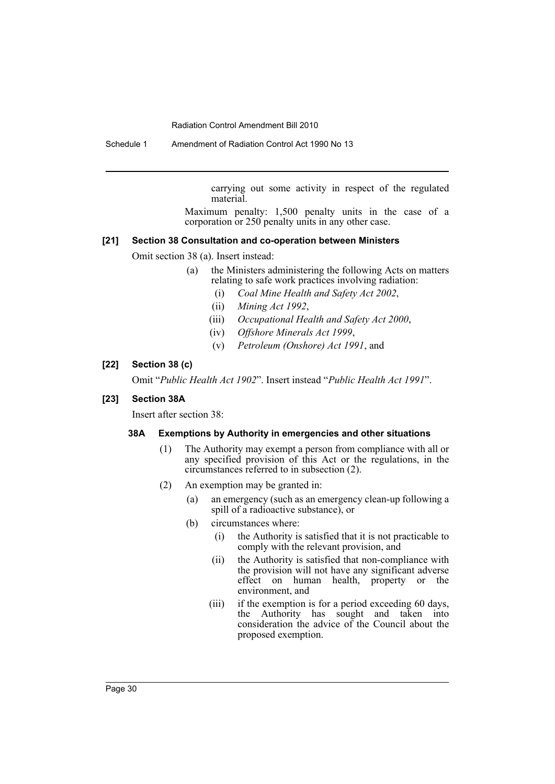Schedule 1 Amendment of Radiation Control Act 1990 No 13

carrying out some activity in respect of the regulated material.

Maximum penalty: 1,500 penalty units in the case of a corporation or 250 penalty units in any other case.

# **[21] Section 38 Consultation and co-operation between Ministers**

Omit section 38 (a). Insert instead:

- (a) the Ministers administering the following Acts on matters relating to safe work practices involving radiation:
	- (i) *Coal Mine Health and Safety Act 2002*,
	- (ii) *Mining Act 1992*,
	- (iii) *Occupational Health and Safety Act 2000*,
	- (iv) *Offshore Minerals Act 1999*,
	- (v) *Petroleum (Onshore) Act 1991*, and

# **[22] Section 38 (c)**

Omit "*Public Health Act 1902*". Insert instead "*Public Health Act 1991*".

# **[23] Section 38A**

Insert after section 38:

# **38A Exemptions by Authority in emergencies and other situations**

- (1) The Authority may exempt a person from compliance with all or any specified provision of this Act or the regulations, in the circumstances referred to in subsection (2).
- (2) An exemption may be granted in:
	- (a) an emergency (such as an emergency clean-up following a spill of a radioactive substance), or
	- (b) circumstances where:
		- (i) the Authority is satisfied that it is not practicable to comply with the relevant provision, and
		- (ii) the Authority is satisfied that non-compliance with the provision will not have any significant adverse effect on human health, property or the environment, and
		- (iii) if the exemption is for a period exceeding 60 days, the Authority has sought and taken into consideration the advice of the Council about the proposed exemption.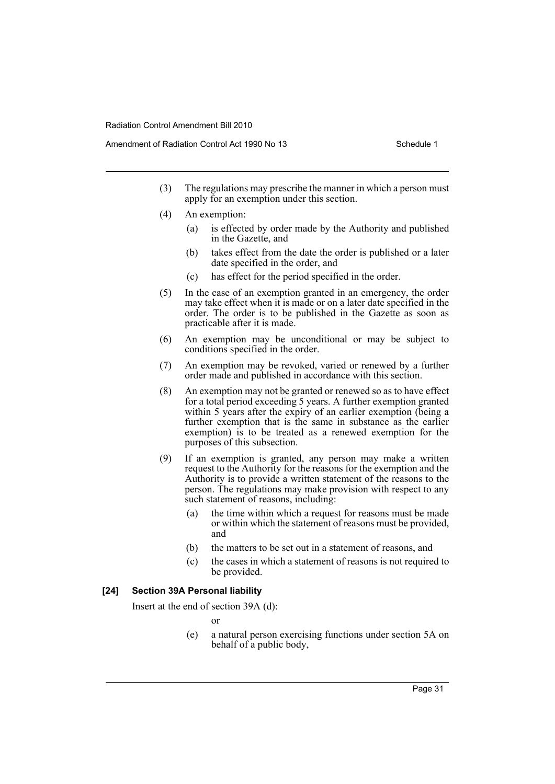- (3) The regulations may prescribe the manner in which a person must apply for an exemption under this section.
- (4) An exemption:
	- (a) is effected by order made by the Authority and published in the Gazette, and
	- (b) takes effect from the date the order is published or a later date specified in the order, and
	- (c) has effect for the period specified in the order.
- (5) In the case of an exemption granted in an emergency, the order may take effect when it is made or on a later date specified in the order. The order is to be published in the Gazette as soon as practicable after it is made.
- (6) An exemption may be unconditional or may be subject to conditions specified in the order.
- (7) An exemption may be revoked, varied or renewed by a further order made and published in accordance with this section.
- (8) An exemption may not be granted or renewed so as to have effect for a total period exceeding 5 years. A further exemption granted within 5 years after the expiry of an earlier exemption (being a further exemption that is the same in substance as the earlier exemption) is to be treated as a renewed exemption for the purposes of this subsection.
- (9) If an exemption is granted, any person may make a written request to the Authority for the reasons for the exemption and the Authority is to provide a written statement of the reasons to the person. The regulations may make provision with respect to any such statement of reasons, including:
	- (a) the time within which a request for reasons must be made or within which the statement of reasons must be provided, and
	- (b) the matters to be set out in a statement of reasons, and
	- (c) the cases in which a statement of reasons is not required to be provided.

# **[24] Section 39A Personal liability**

Insert at the end of section 39A (d):

or

(e) a natural person exercising functions under section 5A on behalf of a public body,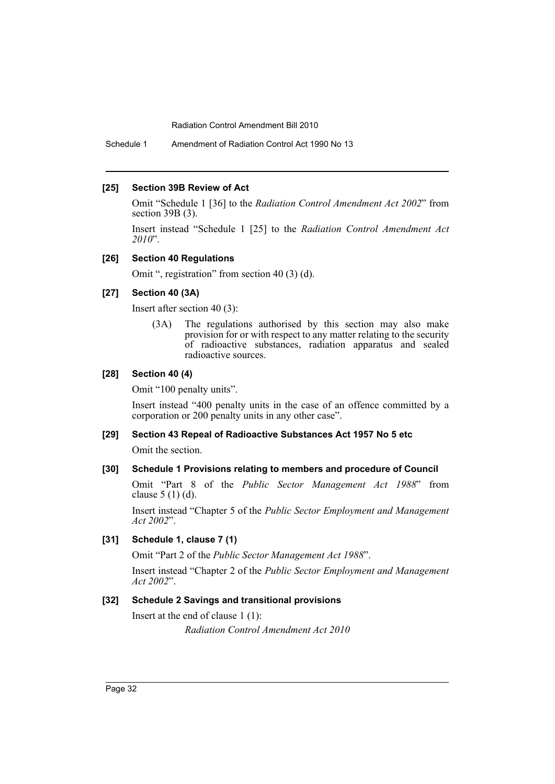Schedule 1 Amendment of Radiation Control Act 1990 No 13

#### **[25] Section 39B Review of Act**

Omit "Schedule 1 [36] to the *Radiation Control Amendment Act 2002*" from section 39B (3).

Insert instead "Schedule 1 [25] to the *Radiation Control Amendment Act 2010*".

# **[26] Section 40 Regulations**

Omit ", registration" from section 40 (3) (d).

### **[27] Section 40 (3A)**

Insert after section 40 (3):

(3A) The regulations authorised by this section may also make provision for or with respect to any matter relating to the security of radioactive substances, radiation apparatus and sealed radioactive sources.

#### **[28] Section 40 (4)**

Omit "100 penalty units".

Insert instead "400 penalty units in the case of an offence committed by a corporation or 200 penalty units in any other case".

### **[29] Section 43 Repeal of Radioactive Substances Act 1957 No 5 etc**

Omit the section.

#### **[30] Schedule 1 Provisions relating to members and procedure of Council**

Omit "Part 8 of the *Public Sector Management Act 1988*" from clause 5 (1) (d).

Insert instead "Chapter 5 of the *Public Sector Employment and Management Act 2002*".

#### **[31] Schedule 1, clause 7 (1)**

Omit "Part 2 of the *Public Sector Management Act 1988*".

Insert instead "Chapter 2 of the *Public Sector Employment and Management Act 2002*".

# **[32] Schedule 2 Savings and transitional provisions**

Insert at the end of clause 1 (1): *Radiation Control Amendment Act 2010*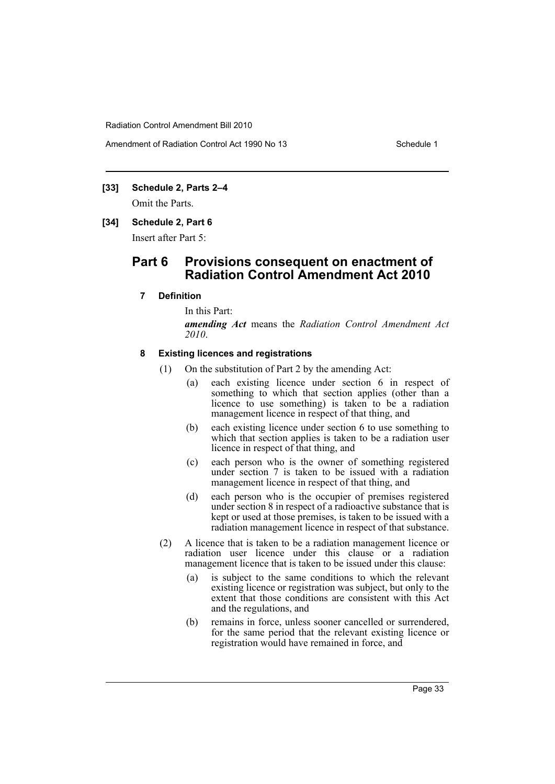Amendment of Radiation Control Act 1990 No 13 Schedule 1

# **[33] Schedule 2, Parts 2–4**

Omit the Parts.

#### **[34] Schedule 2, Part 6**

Insert after Part 5:

# **Part 6 Provisions consequent on enactment of Radiation Control Amendment Act 2010**

#### **7 Definition**

In this Part: *amending Act* means the *Radiation Control Amendment Act 2010*.

#### **8 Existing licences and registrations**

- (1) On the substitution of Part 2 by the amending Act:
	- (a) each existing licence under section 6 in respect of something to which that section applies (other than a licence to use something) is taken to be a radiation management licence in respect of that thing, and
	- (b) each existing licence under section 6 to use something to which that section applies is taken to be a radiation user licence in respect of that thing, and
	- (c) each person who is the owner of something registered under section 7 is taken to be issued with a radiation management licence in respect of that thing, and
	- (d) each person who is the occupier of premises registered under section 8 in respect of a radioactive substance that is kept or used at those premises, is taken to be issued with a radiation management licence in respect of that substance.
- (2) A licence that is taken to be a radiation management licence or radiation user licence under this clause or a radiation management licence that is taken to be issued under this clause:
	- (a) is subject to the same conditions to which the relevant existing licence or registration was subject, but only to the extent that those conditions are consistent with this Act and the regulations, and
	- (b) remains in force, unless sooner cancelled or surrendered, for the same period that the relevant existing licence or registration would have remained in force, and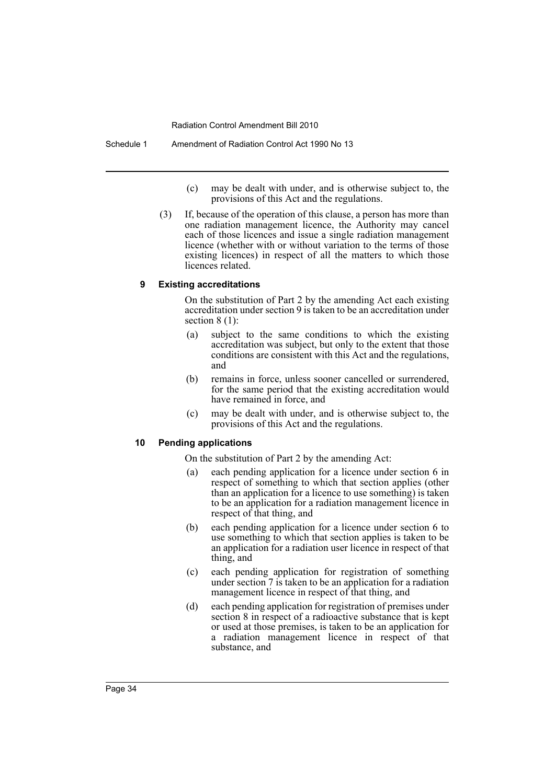Schedule 1 Amendment of Radiation Control Act 1990 No 13

- (c) may be dealt with under, and is otherwise subject to, the provisions of this Act and the regulations.
- (3) If, because of the operation of this clause, a person has more than one radiation management licence, the Authority may cancel each of those licences and issue a single radiation management licence (whether with or without variation to the terms of those existing licences) in respect of all the matters to which those licences related.

#### **9 Existing accreditations**

On the substitution of Part 2 by the amending Act each existing accreditation under section 9 is taken to be an accreditation under section 8 (1):

- (a) subject to the same conditions to which the existing accreditation was subject, but only to the extent that those conditions are consistent with this Act and the regulations, and
- (b) remains in force, unless sooner cancelled or surrendered, for the same period that the existing accreditation would have remained in force, and
- (c) may be dealt with under, and is otherwise subject to, the provisions of this Act and the regulations.

#### **10 Pending applications**

On the substitution of Part 2 by the amending Act:

- (a) each pending application for a licence under section 6 in respect of something to which that section applies (other than an application for a licence to use something) is taken to be an application for a radiation management licence in respect of that thing, and
- (b) each pending application for a licence under section 6 to use something to which that section applies is taken to be an application for a radiation user licence in respect of that thing, and
- (c) each pending application for registration of something under section 7 is taken to be an application for a radiation management licence in respect of that thing, and
- (d) each pending application for registration of premises under section 8 in respect of a radioactive substance that is kept or used at those premises, is taken to be an application for a radiation management licence in respect of that substance, and